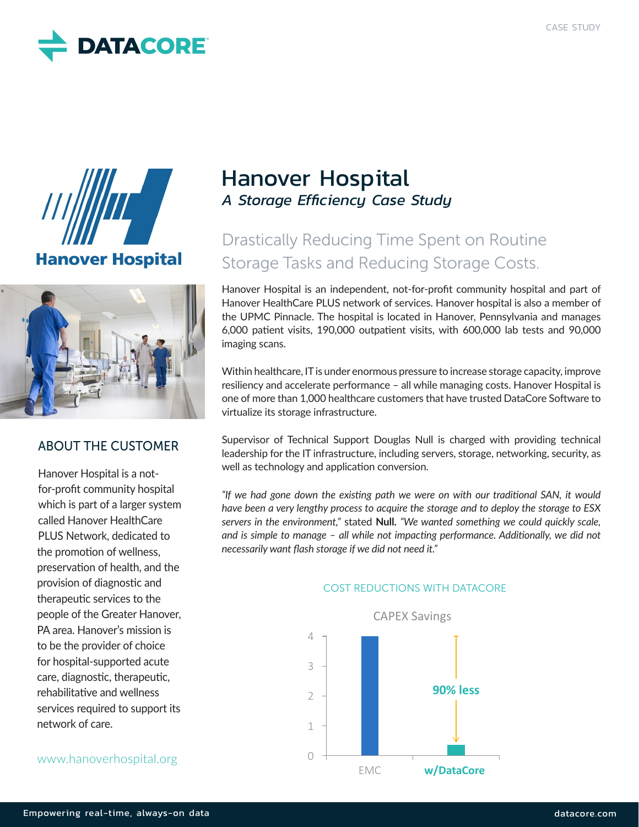





## ABOUT THE CUSTOMER

Hanover Hospital is a notfor-profit community hospital which is part of a larger system called Hanover HealthCare PLUS Network, dedicated to the promotion of wellness, preservation of health, and the provision of diagnostic and therapeutic services to the people of the Greater Hanover, PA area. Hanover's mission is to be the provider of choice for hospital-supported acute care, diagnostic, therapeutic, rehabilitative and wellness services required to support its network of care.

## www.hanoverhospital.org

## Hanover Hospital *A Storage Efficiency Case Study*

# Drastically Reducing Time Spent on Routine Storage Tasks and Reducing Storage Costs.

Hanover Hospital is an independent, not-for-profit community hospital and part of Hanover HealthCare PLUS network of services. Hanover hospital is also a member of the UPMC Pinnacle. The hospital is located in Hanover, Pennsylvania and manages 6,000 patient visits, 190,000 outpatient visits, with 600,000 lab tests and 90,000 imaging scans.

Within healthcare, IT is under enormous pressure to increase storage capacity, improve resiliency and accelerate performance – all while managing costs. Hanover Hospital is one of more than 1,000 healthcare customers that have trusted DataCore Software to virtualize its storage infrastructure.

Supervisor of Technical Support Douglas Null is charged with providing technical leadership for the IT infrastructure, including servers, storage, networking, security, as well as technology and application conversion.

*"If we had gone down the existing path we were on with our traditional SAN, it would have been a very lengthy process to acquire the storage and to deploy the storage to ESX servers in the environment,"* stated **Null.** *"We wanted something we could quickly scale, and is simple to manage – all while not impacting performance. Additionally, we did not necessarily want flash storage if we did not need it."*



#### COST REDUCTIONS WITH DATACORE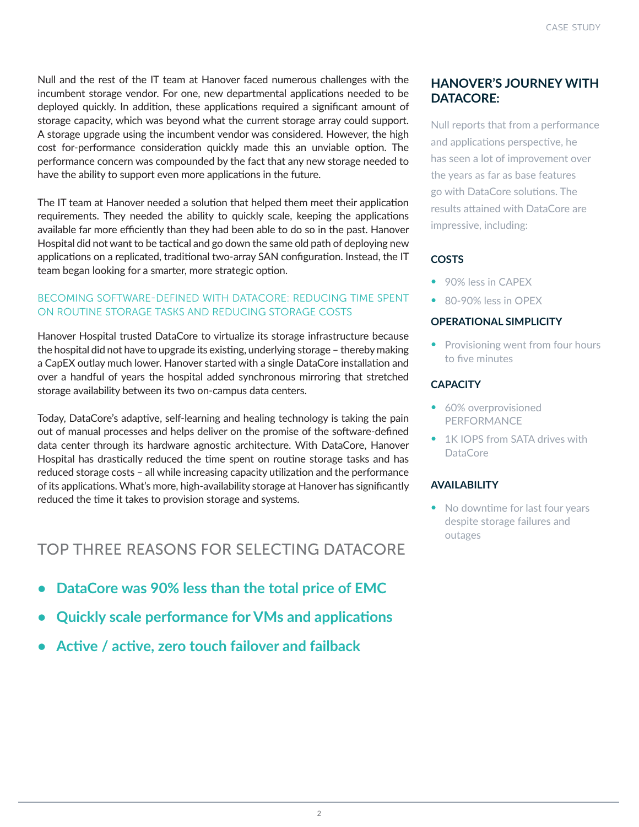Null and the rest of the IT team at Hanover faced numerous challenges with the incumbent storage vendor. For one, new departmental applications needed to be deployed quickly. In addition, these applications required a significant amount of storage capacity, which was beyond what the current storage array could support. A storage upgrade using the incumbent vendor was considered. However, the high cost for-performance consideration quickly made this an unviable option. The performance concern was compounded by the fact that any new storage needed to have the ability to support even more applications in the future.

The IT team at Hanover needed a solution that helped them meet their application requirements. They needed the ability to quickly scale, keeping the applications available far more efficiently than they had been able to do so in the past. Hanover Hospital did not want to be tactical and go down the same old path of deploying new applications on a replicated, traditional two-array SAN configuration. Instead, the IT team began looking for a smarter, more strategic option.

#### BECOMING SOFTWARE-DEFINED WITH DATACORE: REDUCING TIME SPENT ON ROUTINE STORAGE TASKS AND REDUCING STORAGE COSTS

Hanover Hospital trusted DataCore to virtualize its storage infrastructure because the hospital did not have to upgrade its existing, underlying storage – thereby making a CapEX outlay much lower. Hanover started with a single DataCore installation and over a handful of years the hospital added synchronous mirroring that stretched storage availability between its two on-campus data centers.

Today, DataCore's adaptive, self-learning and healing technology is taking the pain out of manual processes and helps deliver on the promise of the software-defined data center through its hardware agnostic architecture. With DataCore, Hanover Hospital has drastically reduced the time spent on routine storage tasks and has reduced storage costs – all while increasing capacity utilization and the performance of its applications. What's more, high-availability storage at Hanover has significantly reduced the time it takes to provision storage and systems.

## TOP THREE REASONS FOR SELECTING DATACORE

- **• DataCore was 90% less than the total price of EMC**
- **• Quickly scale performance for VMs and applications**
- **• Active / active, zero touch failover and failback**

## **HANOVER'S JOURNEY WITH DATACORE:**

Null reports that from a performance and applications perspective, he has seen a lot of improvement over the years as far as base features go with DataCore solutions. The results attained with DataCore are impressive, including:

## **COSTS**

- 90% less in CAPEX
- 80-90% less in OPEX

#### **OPERATIONAL SIMPLICITY**

• Provisioning went from four hours to five minutes

#### **CAPACITY**

- 60% overprovisioned PERFORMANCE
- 1K IOPS from SATA drives with DataCore

### **AVAILABILITY**

• No downtime for last four years despite storage failures and outages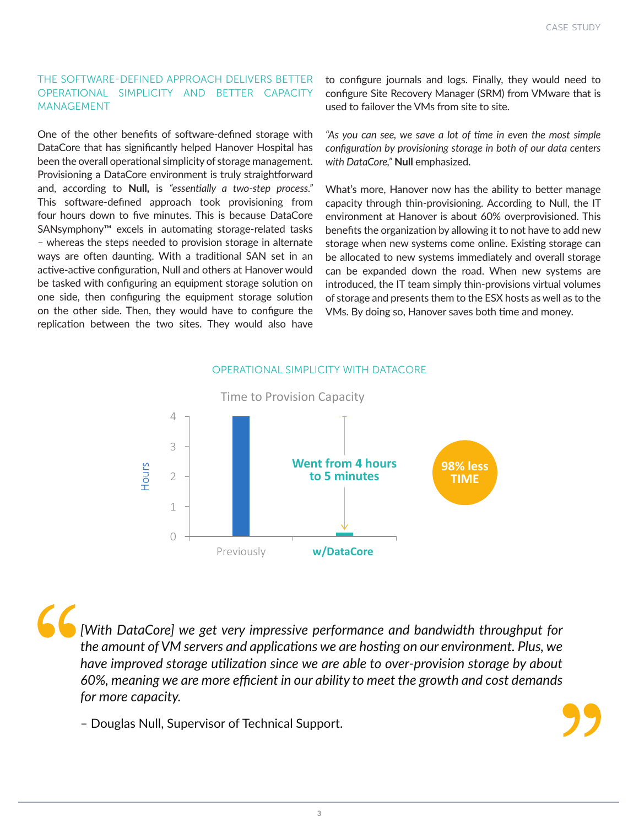#### THE SOFTWARE-DEFINED APPROACH DELIVERS BETTER OPERATIONAL SIMPLICITY AND BETTER CAPACITY MANAGEMENT

One of the other benefits of software-defined storage with DataCore that has significantly helped Hanover Hospital has been the overall operational simplicity of storage management. Provisioning a DataCore environment is truly straightforward and, according to **Null,** is *"essentially a two-step process."*  This software-defined approach took provisioning from four hours down to five minutes. This is because DataCore SANsymphony™ excels in automating storage-related tasks – whereas the steps needed to provision storage in alternate ways are often daunting. With a traditional SAN set in an active-active configuration, Null and others at Hanover would be tasked with configuring an equipment storage solution on one side, then configuring the equipment storage solution on the other side. Then, they would have to configure the replication between the two sites. They would also have

to configure journals and logs. Finally, they would need to configure Site Recovery Manager (SRM) from VMware that is used to failover the VMs from site to site.

*"As you can see, we save a lot of time in even the most simple configuration by provisioning storage in both of our data centers with DataCore,"* **Null** emphasized.

What's more, Hanover now has the ability to better manage capacity through thin-provisioning. According to Null, the IT environment at Hanover is about 60% overprovisioned. This benefits the organization by allowing it to not have to add new storage when new systems come online. Existing storage can be allocated to new systems immediately and overall storage can be expanded down the road. When new systems are introduced, the IT team simply thin-provisions virtual volumes of storage and presents them to the ESX hosts as well as to the VMs. By doing so, Hanover saves both time and money.

#### OPERATIONAL SIMPLICITY WITH DATACORE



*[With DataCore] we get very impressive performance and bandwidth throughput for the amount of VM servers and applications we are hosting on our environment. Plus, we have improved storage utilization since we are able to over-provision storage by about 60%, meaning we are more efficient in our ability to meet the growth and cost demands for more capacity.*

– Douglas Null, Supervisor of Technical Support.